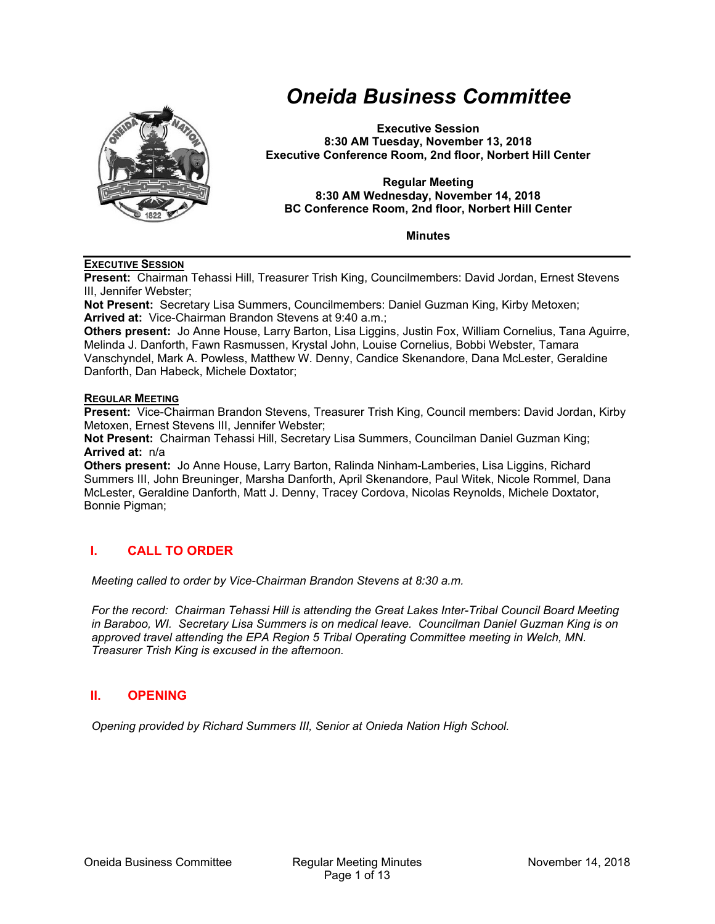

# *Oneida Business Committee*

**Executive Session 8:30 AM Tuesday, November 13, 2018 Executive Conference Room, 2nd floor, Norbert Hill Center** 

#### **Regular Meeting 8:30 AM Wednesday, November 14, 2018 BC Conference Room, 2nd floor, Norbert Hill Center**

**Minutes** 

#### **EXECUTIVE SESSION**

**Present:** Chairman Tehassi Hill, Treasurer Trish King, Councilmembers: David Jordan, Ernest Stevens III, Jennifer Webster;

**Not Present:** Secretary Lisa Summers, Councilmembers: Daniel Guzman King, Kirby Metoxen; **Arrived at:** Vice-Chairman Brandon Stevens at 9:40 a.m.;

**Others present:** Jo Anne House, Larry Barton, Lisa Liggins, Justin Fox, William Cornelius, Tana Aguirre, Melinda J. Danforth, Fawn Rasmussen, Krystal John, Louise Cornelius, Bobbi Webster, Tamara Vanschyndel, Mark A. Powless, Matthew W. Denny, Candice Skenandore, Dana McLester, Geraldine Danforth, Dan Habeck, Michele Doxtator;

## **REGULAR MEETING**

**Present:** Vice-Chairman Brandon Stevens, Treasurer Trish King, Council members: David Jordan, Kirby Metoxen, Ernest Stevens III, Jennifer Webster;

**Not Present:** Chairman Tehassi Hill, Secretary Lisa Summers, Councilman Daniel Guzman King; **Arrived at:** n/a

**Others present:** Jo Anne House, Larry Barton, Ralinda Ninham-Lamberies, Lisa Liggins, Richard Summers III, John Breuninger, Marsha Danforth, April Skenandore, Paul Witek, Nicole Rommel, Dana McLester, Geraldine Danforth, Matt J. Denny, Tracey Cordova, Nicolas Reynolds, Michele Doxtator, Bonnie Pigman;

# **I. CALL TO ORDER**

*Meeting called to order by Vice-Chairman Brandon Stevens at 8:30 a.m.* 

*For the record: Chairman Tehassi Hill is attending the Great Lakes Inter-Tribal Council Board Meeting in Baraboo, WI. Secretary Lisa Summers is on medical leave. Councilman Daniel Guzman King is on approved travel attending the EPA Region 5 Tribal Operating Committee meeting in Welch, MN. Treasurer Trish King is excused in the afternoon.* 

# **II. OPENING**

*Opening provided by Richard Summers III, Senior at Onieda Nation High School.*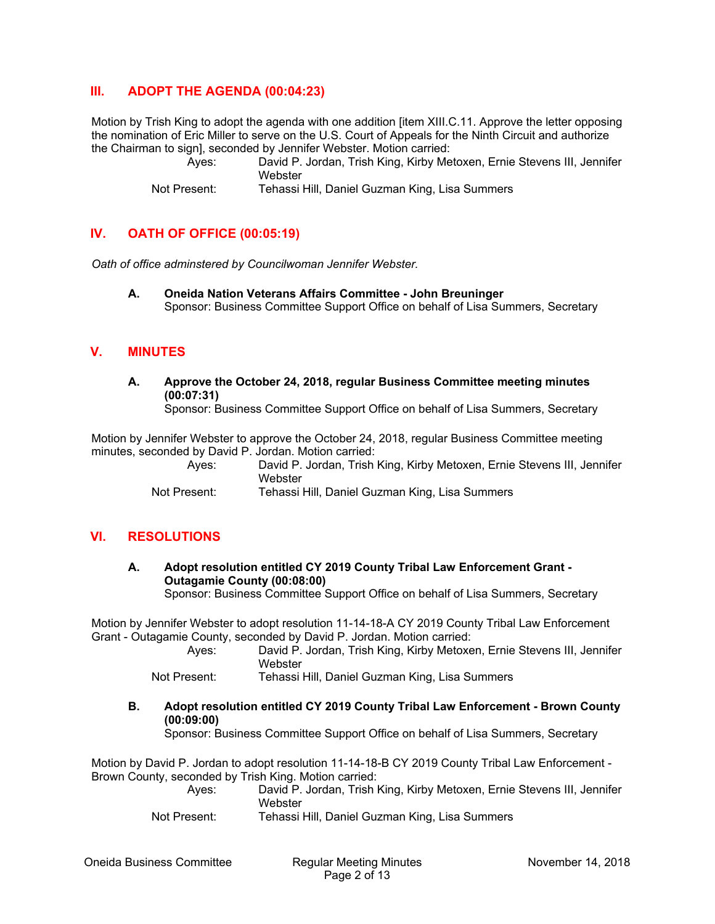# **III. ADOPT THE AGENDA (00:04:23)**

Motion by Trish King to adopt the agenda with one addition [item XIII.C.11. Approve the letter opposing the nomination of Eric Miller to serve on the U.S. Court of Appeals for the Ninth Circuit and authorize the Chairman to sign], seconded by Jennifer Webster. Motion carried:

 Ayes: David P. Jordan, Trish King, Kirby Metoxen, Ernie Stevens III, Jennifer **Webster** 

Not Present: Tehassi Hill, Daniel Guzman King, Lisa Summers

# **IV. OATH OF OFFICE (00:05:19)**

*Oath of office adminstered by Councilwoman Jennifer Webster.* 

**A. Oneida Nation Veterans Affairs Committee - John Breuninger**  Sponsor: Business Committee Support Office on behalf of Lisa Summers, Secretary

## **V. MINUTES**

**A. Approve the October 24, 2018, regular Business Committee meeting minutes (00:07:31)** 

Sponsor: Business Committee Support Office on behalf of Lisa Summers, Secretary

Motion by Jennifer Webster to approve the October 24, 2018, regular Business Committee meeting minutes, seconded by David P. Jordan. Motion carried:

 Ayes: David P. Jordan, Trish King, Kirby Metoxen, Ernie Stevens III, Jennifer Webster

Not Present: Tehassi Hill, Daniel Guzman King, Lisa Summers

## **VI. RESOLUTIONS**

## **A. Adopt resolution entitled CY 2019 County Tribal Law Enforcement Grant - Outagamie County (00:08:00)**

Sponsor: Business Committee Support Office on behalf of Lisa Summers, Secretary

Motion by Jennifer Webster to adopt resolution 11-14-18-A CY 2019 County Tribal Law Enforcement Grant - Outagamie County, seconded by David P. Jordan. Motion carried:

|  | Aves: |         |  | David P. Jordan, Trish King, Kirby Metoxen, Ernie Stevens III, Jennifer |  |  |
|--|-------|---------|--|-------------------------------------------------------------------------|--|--|
|  |       | Webster |  |                                                                         |  |  |
|  |       |         |  |                                                                         |  |  |

Not Present: Tehassi Hill, Daniel Guzman King, Lisa Summers

**B. Adopt resolution entitled CY 2019 County Tribal Law Enforcement - Brown County (00:09:00)** 

Sponsor: Business Committee Support Office on behalf of Lisa Summers, Secretary

Motion by David P. Jordan to adopt resolution 11-14-18-B CY 2019 County Tribal Law Enforcement - Brown County, seconded by Trish King. Motion carried:

- Ayes: David P. Jordan, Trish King, Kirby Metoxen, Ernie Stevens III, Jennifer **Webster**
- Not Present: Tehassi Hill, Daniel Guzman King, Lisa Summers

Oneida Business Committee Regular Meeting Minutes November 14, 2018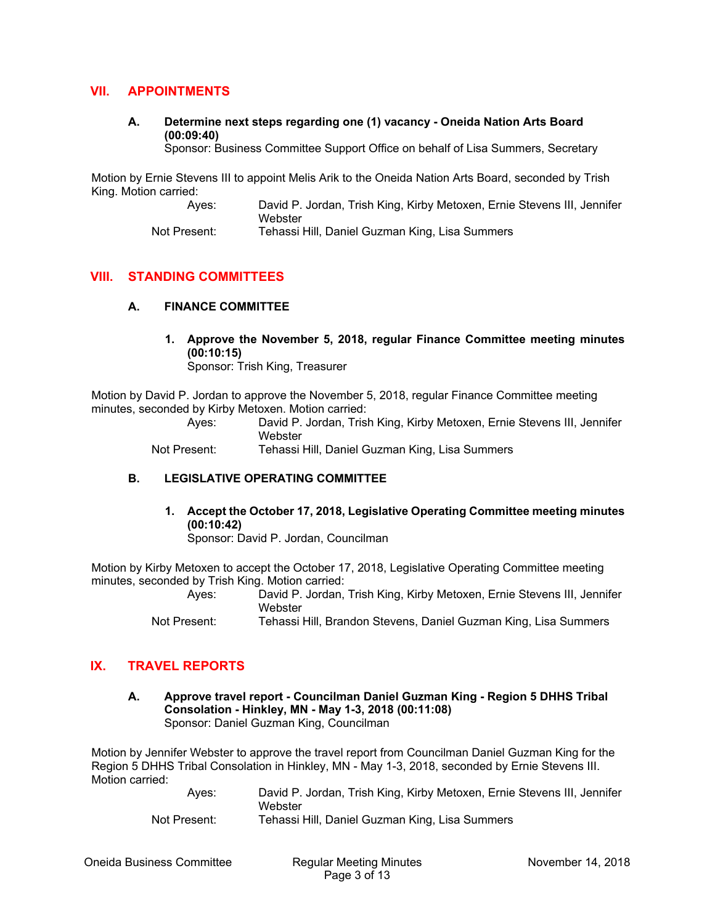# **VII. APPOINTMENTS**

**A. Determine next steps regarding one (1) vacancy - Oneida Nation Arts Board (00:09:40)** 

Sponsor: Business Committee Support Office on behalf of Lisa Summers, Secretary

Motion by Ernie Stevens III to appoint Melis Arik to the Oneida Nation Arts Board, seconded by Trish King. Motion carried:

 Ayes: David P. Jordan, Trish King, Kirby Metoxen, Ernie Stevens III, Jennifer **Webster** 

Not Present: Tehassi Hill, Daniel Guzman King, Lisa Summers

# **VIII. STANDING COMMITTEES**

#### **A. FINANCE COMMITTEE**

**1. Approve the November 5, 2018, regular Finance Committee meeting minutes (00:10:15)**  Sponsor: Trish King, Treasurer

Motion by David P. Jordan to approve the November 5, 2018, regular Finance Committee meeting minutes, seconded by Kirby Metoxen. Motion carried:

 Ayes: David P. Jordan, Trish King, Kirby Metoxen, Ernie Stevens III, Jennifer **Webster** 

Not Present: Tehassi Hill, Daniel Guzman King, Lisa Summers

#### **B. LEGISLATIVE OPERATING COMMITTEE**

**1. Accept the October 17, 2018, Legislative Operating Committee meeting minutes (00:10:42)**  Sponsor: David P. Jordan, Councilman

Motion by Kirby Metoxen to accept the October 17, 2018, Legislative Operating Committee meeting minutes, seconded by Trish King. Motion carried:

 Ayes: David P. Jordan, Trish King, Kirby Metoxen, Ernie Stevens III, Jennifer **Webster** 

Not Present: Tehassi Hill, Brandon Stevens, Daniel Guzman King, Lisa Summers

# **IX. TRAVEL REPORTS**

**A. Approve travel report - Councilman Daniel Guzman King - Region 5 DHHS Tribal Consolation - Hinkley, MN - May 1-3, 2018 (00:11:08)**  Sponsor: Daniel Guzman King, Councilman

Motion by Jennifer Webster to approve the travel report from Councilman Daniel Guzman King for the Region 5 DHHS Tribal Consolation in Hinkley, MN - May 1-3, 2018, seconded by Ernie Stevens III. Motion carried:

| Aves:        | David P. Jordan, Trish King, Kirby Metoxen, Ernie Stevens III, Jennifer<br>Webster |
|--------------|------------------------------------------------------------------------------------|
| Not Present: | Tehassi Hill, Daniel Guzman King, Lisa Summers                                     |

Oneida Business Committee Regular Meeting Minutes November 14, 2018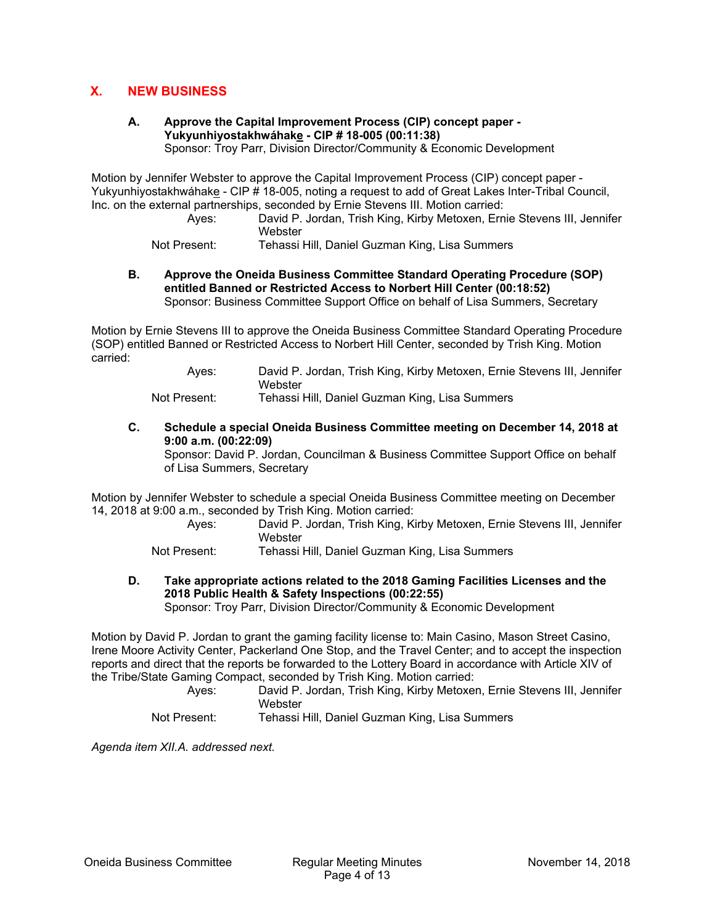# **X. NEW BUSINESS**

# **A. Approve the Capital Improvement Process (CIP) concept paper - Yukyunhiyostakhwáhake - CIP # 18-005 (00:11:38)**

Sponsor: Troy Parr, Division Director/Community & Economic Development

Motion by Jennifer Webster to approve the Capital Improvement Process (CIP) concept paper - Yukyunhiyostakhwáhake - CIP # 18-005, noting a request to add of Great Lakes Inter-Tribal Council, Inc. on the external partnerships, seconded by Ernie Stevens III. Motion carried:

 Ayes: David P. Jordan, Trish King, Kirby Metoxen, Ernie Stevens III, Jennifer Webster

Not Present: Tehassi Hill, Daniel Guzman King, Lisa Summers

**B. Approve the Oneida Business Committee Standard Operating Procedure (SOP) entitled Banned or Restricted Access to Norbert Hill Center (00:18:52)**  Sponsor: Business Committee Support Office on behalf of Lisa Summers, Secretary

Motion by Ernie Stevens III to approve the Oneida Business Committee Standard Operating Procedure (SOP) entitled Banned or Restricted Access to Norbert Hill Center, seconded by Trish King. Motion carried:

> Ayes: David P. Jordan, Trish King, Kirby Metoxen, Ernie Stevens III, Jennifer Webster

Not Present: Tehassi Hill, Daniel Guzman King, Lisa Summers

**C. Schedule a special Oneida Business Committee meeting on December 14, 2018 at 9:00 a.m. (00:22:09)** 

Sponsor: David P. Jordan, Councilman & Business Committee Support Office on behalf of Lisa Summers, Secretary

Motion by Jennifer Webster to schedule a special Oneida Business Committee meeting on December 14, 2018 at 9:00 a.m., seconded by Trish King. Motion carried:

> Ayes: David P. Jordan, Trish King, Kirby Metoxen, Ernie Stevens III, Jennifer **Webster**

Not Present: Tehassi Hill, Daniel Guzman King, Lisa Summers

**D. Take appropriate actions related to the 2018 Gaming Facilities Licenses and the 2018 Public Health & Safety Inspections (00:22:55)**  Sponsor: Troy Parr, Division Director/Community & Economic Development

Motion by David P. Jordan to grant the gaming facility license to: Main Casino, Mason Street Casino, Irene Moore Activity Center, Packerland One Stop, and the Travel Center; and to accept the inspection reports and direct that the reports be forwarded to the Lottery Board in accordance with Article XIV of the Tribe/State Gaming Compact, seconded by Trish King. Motion carried:

 Ayes: David P. Jordan, Trish King, Kirby Metoxen, Ernie Stevens III, Jennifer **Webster** 

Not Present: Tehassi Hill, Daniel Guzman King, Lisa Summers

*Agenda item XII.A. addressed next.*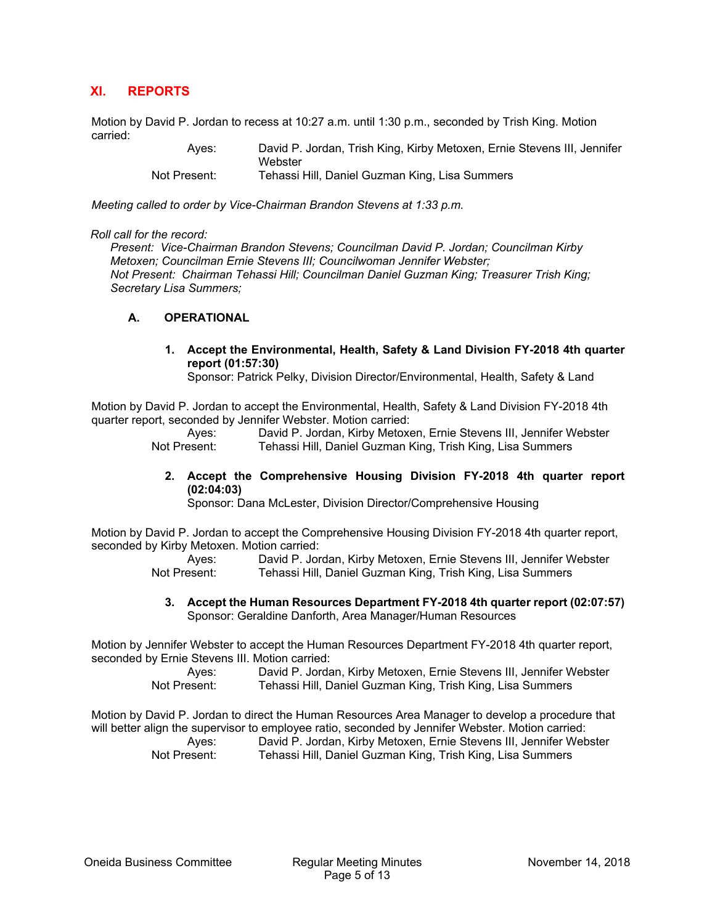# **XI. REPORTS**

Motion by David P. Jordan to recess at 10:27 a.m. until 1:30 p.m., seconded by Trish King. Motion carried:

 Ayes: David P. Jordan, Trish King, Kirby Metoxen, Ernie Stevens III, Jennifer **Webster** Not Present: Tehassi Hill, Daniel Guzman King, Lisa Summers

*Meeting called to order by Vice-Chairman Brandon Stevens at 1:33 p.m.* 

#### *Roll call for the record:*

*Present: Vice-Chairman Brandon Stevens; Councilman David P. Jordan; Councilman Kirby Metoxen; Councilman Ernie Stevens III; Councilwoman Jennifer Webster; Not Present: Chairman Tehassi Hill; Councilman Daniel Guzman King; Treasurer Trish King; Secretary Lisa Summers;* 

#### **A. OPERATIONAL**

**1. Accept the Environmental, Health, Safety & Land Division FY-2018 4th quarter report (01:57:30)** 

Sponsor: Patrick Pelky, Division Director/Environmental, Health, Safety & Land

Motion by David P. Jordan to accept the Environmental, Health, Safety & Land Division FY-2018 4th quarter report, seconded by Jennifer Webster. Motion carried:

> Ayes: David P. Jordan, Kirby Metoxen, Ernie Stevens III, Jennifer Webster Not Present: Tehassi Hill, Daniel Guzman King, Trish King, Lisa Summers

**2. Accept the Comprehensive Housing Division FY-2018 4th quarter report (02:04:03)** 

Sponsor: Dana McLester, Division Director/Comprehensive Housing

Motion by David P. Jordan to accept the Comprehensive Housing Division FY-2018 4th quarter report, seconded by Kirby Metoxen. Motion carried:

> Ayes: David P. Jordan, Kirby Metoxen, Ernie Stevens III, Jennifer Webster Not Present: Tehassi Hill, Daniel Guzman King, Trish King, Lisa Summers

**3. Accept the Human Resources Department FY-2018 4th quarter report (02:07:57)**  Sponsor: Geraldine Danforth, Area Manager/Human Resources

Motion by Jennifer Webster to accept the Human Resources Department FY-2018 4th quarter report, seconded by Ernie Stevens III. Motion carried:

> Ayes: David P. Jordan, Kirby Metoxen, Ernie Stevens III, Jennifer Webster Not Present: Tehassi Hill, Daniel Guzman King, Trish King, Lisa Summers

Motion by David P. Jordan to direct the Human Resources Area Manager to develop a procedure that will better align the supervisor to employee ratio, seconded by Jennifer Webster. Motion carried: Ayes: David P. Jordan, Kirby Metoxen, Ernie Stevens III, Jennifer Webster Not Present: Tehassi Hill, Daniel Guzman King, Trish King, Lisa Summers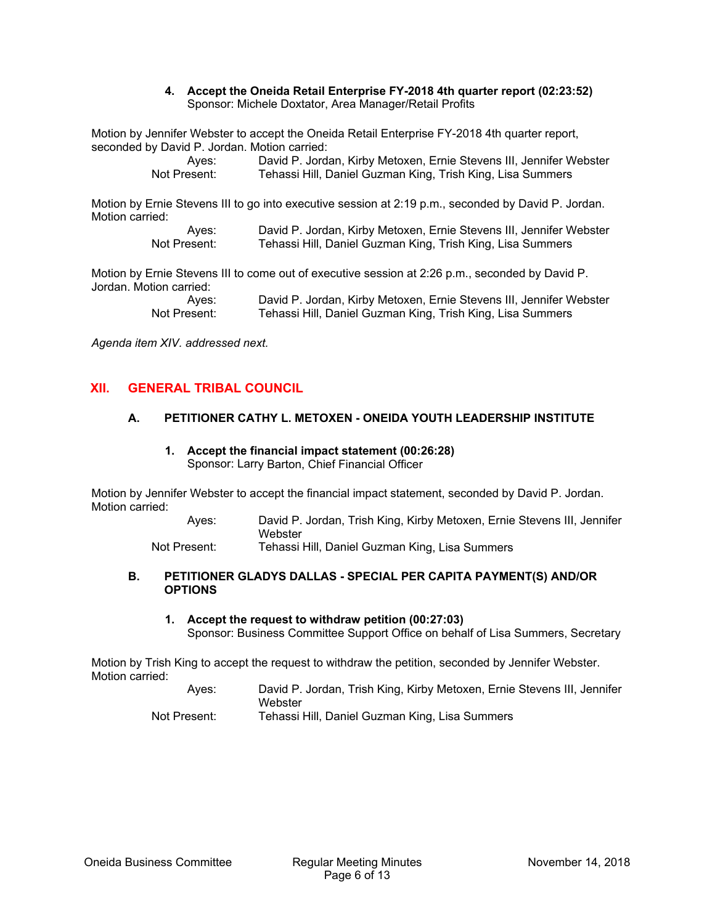#### **4. Accept the Oneida Retail Enterprise FY-2018 4th quarter report (02:23:52)**  Sponsor: Michele Doxtator, Area Manager/Retail Profits

Motion by Jennifer Webster to accept the Oneida Retail Enterprise FY-2018 4th quarter report, seconded by David P. Jordan. Motion carried:

> Ayes: David P. Jordan, Kirby Metoxen, Ernie Stevens III, Jennifer Webster Not Present: Tehassi Hill, Daniel Guzman King, Trish King, Lisa Summers

Motion by Ernie Stevens III to go into executive session at 2:19 p.m., seconded by David P. Jordan. Motion carried:

> Ayes: David P. Jordan, Kirby Metoxen, Ernie Stevens III, Jennifer Webster<br>Not Present: Tehassi Hill. Daniel Guzman King. Trish King. Lisa Summers Tehassi Hill, Daniel Guzman King, Trish King, Lisa Summers

Motion by Ernie Stevens III to come out of executive session at 2:26 p.m., seconded by David P. Jordan. Motion carried:

> Ayes: David P. Jordan, Kirby Metoxen, Ernie Stevens III, Jennifer Webster<br>Not Present: Tehassi Hill. Daniel Guzman King. Trish King. Lisa Summers Tehassi Hill, Daniel Guzman King, Trish King, Lisa Summers

*Agenda item XIV. addressed next.* 

# **XII. GENERAL TRIBAL COUNCIL**

#### **A. PETITIONER CATHY L. METOXEN - ONEIDA YOUTH LEADERSHIP INSTITUTE**

**1. Accept the financial impact statement (00:26:28)**  Sponsor: Larry Barton, Chief Financial Officer

Motion by Jennifer Webster to accept the financial impact statement, seconded by David P. Jordan. Motion carried:

> Ayes: David P. Jordan, Trish King, Kirby Metoxen, Ernie Stevens III, Jennifer Webster

Not Present: Tehassi Hill, Daniel Guzman King, Lisa Summers

#### **B. PETITIONER GLADYS DALLAS - SPECIAL PER CAPITA PAYMENT(S) AND/OR OPTIONS**

**1. Accept the request to withdraw petition (00:27:03)**  Sponsor: Business Committee Support Office on behalf of Lisa Summers, Secretary

Motion by Trish King to accept the request to withdraw the petition, seconded by Jennifer Webster. Motion carried:

> Ayes: David P. Jordan, Trish King, Kirby Metoxen, Ernie Stevens III, Jennifer **Webster** Not Present: Tehassi Hill, Daniel Guzman King, Lisa Summers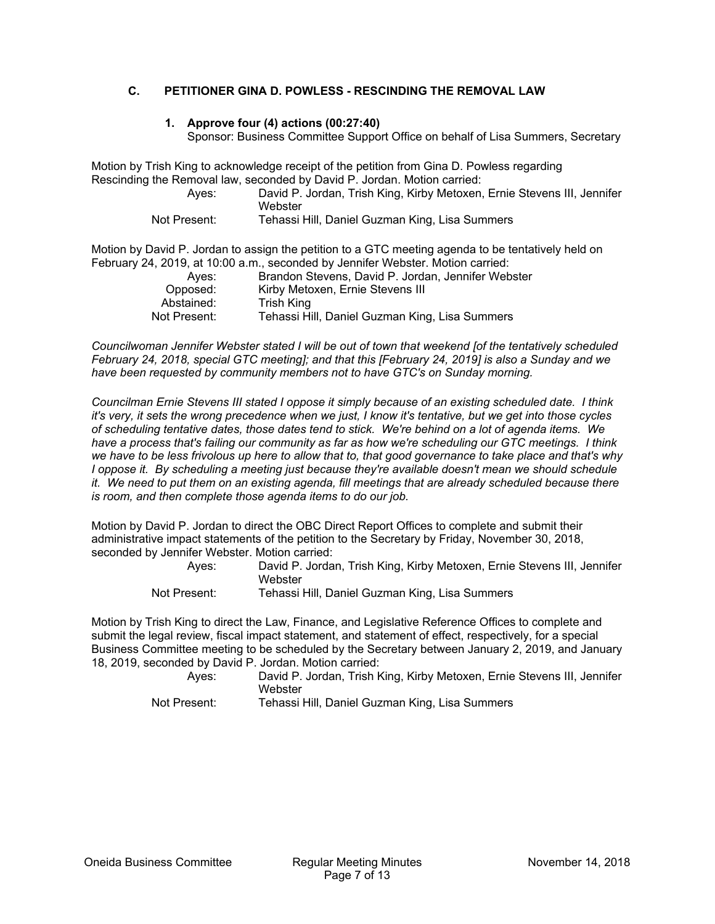## **C. PETITIONER GINA D. POWLESS - RESCINDING THE REMOVAL LAW**

#### **1. Approve four (4) actions (00:27:40)**

Sponsor: Business Committee Support Office on behalf of Lisa Summers, Secretary

Motion by Trish King to acknowledge receipt of the petition from Gina D. Powless regarding Rescinding the Removal law, seconded by David P. Jordan. Motion carried:

 Ayes: David P. Jordan, Trish King, Kirby Metoxen, Ernie Stevens III, Jennifer Webster

Not Present: Tehassi Hill, Daniel Guzman King, Lisa Summers

Motion by David P. Jordan to assign the petition to a GTC meeting agenda to be tentatively held on February 24, 2019, at 10:00 a.m., seconded by Jennifer Webster. Motion carried:

| Aves:        | Brandon Stevens, David P. Jordan, Jennifer Webster |
|--------------|----------------------------------------------------|
| Opposed:     | Kirby Metoxen, Ernie Stevens III                   |
| Abstained:   | Trish King                                         |
| Not Present: | Tehassi Hill, Daniel Guzman King, Lisa Summers     |

*Councilwoman Jennifer Webster stated I will be out of town that weekend [of the tentatively scheduled February 24, 2018, special GTC meeting]; and that this [February 24, 2019] is also a Sunday and we have been requested by community members not to have GTC's on Sunday morning.* 

*Councilman Ernie Stevens III stated I oppose it simply because of an existing scheduled date. I think it's very, it sets the wrong precedence when we just, I know it's tentative, but we get into those cycles of scheduling tentative dates, those dates tend to stick. We're behind on a lot of agenda items. We have a process that's failing our community as far as how we're scheduling our GTC meetings. I think we have to be less frivolous up here to allow that to, that good governance to take place and that's why I* oppose it. By scheduling a meeting just because they're available doesn't mean we should schedule *it. We need to put them on an existing agenda, fill meetings that are already scheduled because there is room, and then complete those agenda items to do our job.* 

Motion by David P. Jordan to direct the OBC Direct Report Offices to complete and submit their administrative impact statements of the petition to the Secretary by Friday, November 30, 2018, seconded by Jennifer Webster. Motion carried:

| Aves:        | David P. Jordan, Trish King, Kirby Metoxen, Ernie Stevens III, Jennifer |
|--------------|-------------------------------------------------------------------------|
|              | Webster                                                                 |
| Not Drooppt: | Tahasai Hill Daniel Curman King Lias Cummars                            |

Not Present: Tehassi Hill, Daniel Guzman King, Lisa Summers

Motion by Trish King to direct the Law, Finance, and Legislative Reference Offices to complete and submit the legal review, fiscal impact statement, and statement of effect, respectively, for a special Business Committee meeting to be scheduled by the Secretary between January 2, 2019, and January 18, 2019, seconded by David P. Jordan. Motion carried:

 Ayes: David P. Jordan, Trish King, Kirby Metoxen, Ernie Stevens III, Jennifer Webster

Not Present: Tehassi Hill, Daniel Guzman King, Lisa Summers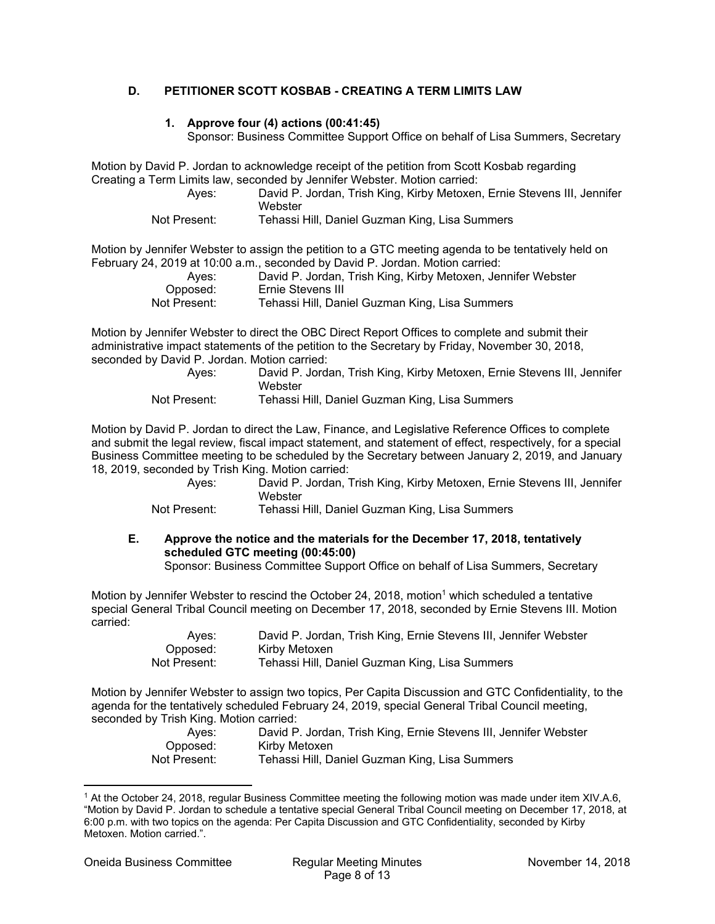## **D. PETITIONER SCOTT KOSBAB - CREATING A TERM LIMITS LAW**

#### **1. Approve four (4) actions (00:41:45)**

Sponsor: Business Committee Support Office on behalf of Lisa Summers, Secretary

Motion by David P. Jordan to acknowledge receipt of the petition from Scott Kosbab regarding Creating a Term Limits law, seconded by Jennifer Webster. Motion carried:

 Ayes: David P. Jordan, Trish King, Kirby Metoxen, Ernie Stevens III, Jennifer Webster

Not Present: Tehassi Hill, Daniel Guzman King, Lisa Summers

Motion by Jennifer Webster to assign the petition to a GTC meeting agenda to be tentatively held on February 24, 2019 at 10:00 a.m., seconded by David P. Jordan. Motion carried:

| Aves:        | David P. Jordan, Trish King, Kirby Metoxen, Jennifer Webster |
|--------------|--------------------------------------------------------------|
| Opposed:     | Ernie Stevens III                                            |
| Not Present: | Tehassi Hill, Daniel Guzman King, Lisa Summers               |

Motion by Jennifer Webster to direct the OBC Direct Report Offices to complete and submit their administrative impact statements of the petition to the Secretary by Friday, November 30, 2018, seconded by David P. Jordan. Motion carried:

| Aves:        | David P. Jordan, Trish King, Kirby Metoxen, Ernie Stevens III, Jennifer<br>Webster |
|--------------|------------------------------------------------------------------------------------|
| Not Present: | Tehassi Hill, Daniel Guzman King, Lisa Summers                                     |

Motion by David P. Jordan to direct the Law, Finance, and Legislative Reference Offices to complete and submit the legal review, fiscal impact statement, and statement of effect, respectively, for a special Business Committee meeting to be scheduled by the Secretary between January 2, 2019, and January 18, 2019, seconded by Trish King. Motion carried:

 Ayes: David P. Jordan, Trish King, Kirby Metoxen, Ernie Stevens III, Jennifer **Webster** 

Not Present: Tehassi Hill, Daniel Guzman King, Lisa Summers

# **E. Approve the notice and the materials for the December 17, 2018, tentatively scheduled GTC meeting (00:45:00)**

Sponsor: Business Committee Support Office on behalf of Lisa Summers, Secretary

Motion by Jennifer Webster to rescind the October 24, 2018, motion<sup>1</sup> which scheduled a tentative special General Tribal Council meeting on December 17, 2018, seconded by Ernie Stevens III. Motion carried:

| Aves:        | David P. Jordan, Trish King, Ernie Stevens III, Jennifer Webster |
|--------------|------------------------------------------------------------------|
| Opposed:     | Kirby Metoxen                                                    |
| Not Present: | Tehassi Hill, Daniel Guzman King, Lisa Summers                   |

Motion by Jennifer Webster to assign two topics, Per Capita Discussion and GTC Confidentiality, to the agenda for the tentatively scheduled February 24, 2019, special General Tribal Council meeting, seconded by Trish King. Motion carried:

| Aves:        | David P. Jordan, Trish King, Ernie Stevens III, Jennifer Webster |
|--------------|------------------------------------------------------------------|
| Opposed:     | Kirby Metoxen                                                    |
| Not Present: | Tehassi Hill, Daniel Guzman King, Lisa Summers                   |
|              |                                                                  |

<sup>1</sup> At the October 24, 2018, regular Business Committee meeting the following motion was made under item XIV.A.6, "Motion by David P. Jordan to schedule a tentative special General Tribal Council meeting on December 17, 2018, at 6:00 p.m. with two topics on the agenda: Per Capita Discussion and GTC Confidentiality, seconded by Kirby Metoxen. Motion carried.".

 $\overline{a}$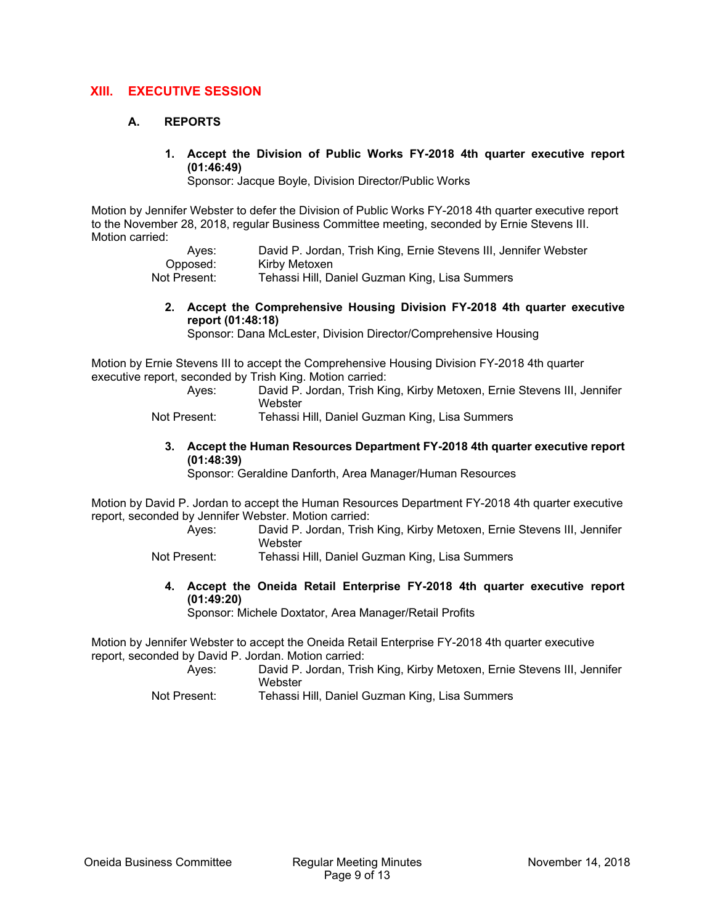# **XIII. EXECUTIVE SESSION**

## **A. REPORTS**

**1. Accept the Division of Public Works FY-2018 4th quarter executive report (01:46:49)** 

Sponsor: Jacque Boyle, Division Director/Public Works

Motion by Jennifer Webster to defer the Division of Public Works FY-2018 4th quarter executive report to the November 28, 2018, regular Business Committee meeting, seconded by Ernie Stevens III. Motion carried:

| Aves:        | David P. Jordan, Trish King, Ernie Stevens III, Jennifer Webster |
|--------------|------------------------------------------------------------------|
| Opposed:     | Kirby Metoxen                                                    |
| Not Present: | Tehassi Hill, Daniel Guzman King, Lisa Summers                   |

**2. Accept the Comprehensive Housing Division FY-2018 4th quarter executive report (01:48:18)** 

Sponsor: Dana McLester, Division Director/Comprehensive Housing

Motion by Ernie Stevens III to accept the Comprehensive Housing Division FY-2018 4th quarter executive report, seconded by Trish King. Motion carried:

> Ayes: David P. Jordan, Trish King, Kirby Metoxen, Ernie Stevens III, Jennifer **Webster**

Not Present: Tehassi Hill, Daniel Guzman King, Lisa Summers

**3. Accept the Human Resources Department FY-2018 4th quarter executive report (01:48:39)** 

Sponsor: Geraldine Danforth, Area Manager/Human Resources

Motion by David P. Jordan to accept the Human Resources Department FY-2018 4th quarter executive report, seconded by Jennifer Webster. Motion carried:

 Ayes: David P. Jordan, Trish King, Kirby Metoxen, Ernie Stevens III, Jennifer **Webster** 

Not Present: Tehassi Hill, Daniel Guzman King, Lisa Summers

**4. Accept the Oneida Retail Enterprise FY-2018 4th quarter executive report (01:49:20)** 

Sponsor: Michele Doxtator, Area Manager/Retail Profits

Motion by Jennifer Webster to accept the Oneida Retail Enterprise FY-2018 4th quarter executive report, seconded by David P. Jordan. Motion carried:

- Ayes: David P. Jordan, Trish King, Kirby Metoxen, Ernie Stevens III, Jennifer **Webster**
- Not Present: Tehassi Hill, Daniel Guzman King, Lisa Summers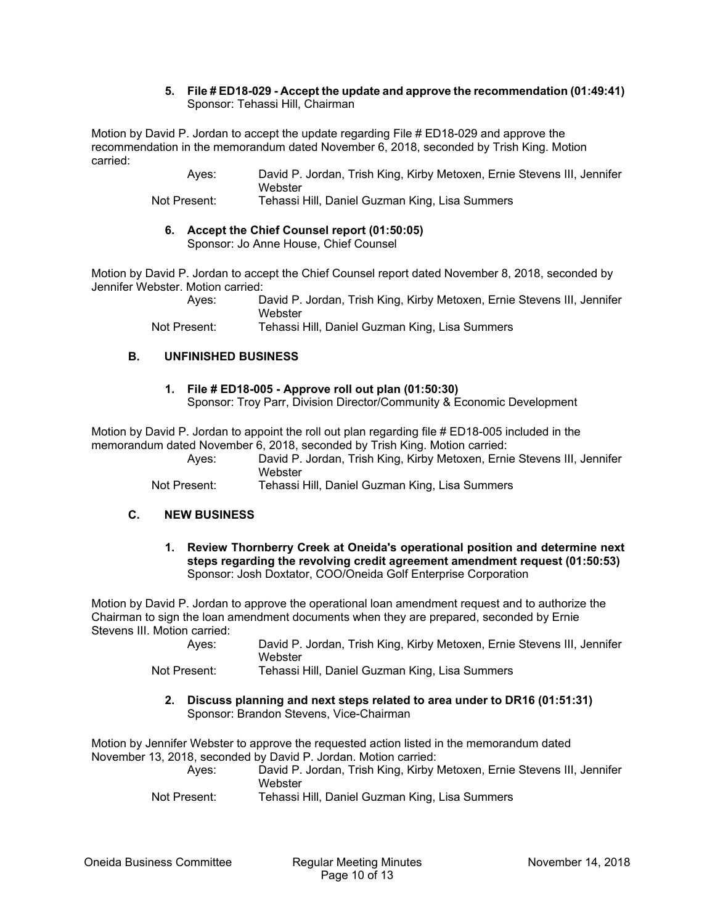#### **5. File # ED18-029 - Accept the update and approve the recommendation (01:49:41)**  Sponsor: Tehassi Hill, Chairman

Motion by David P. Jordan to accept the update regarding File # ED18-029 and approve the recommendation in the memorandum dated November 6, 2018, seconded by Trish King. Motion carried:

> Ayes: David P. Jordan, Trish King, Kirby Metoxen, Ernie Stevens III, Jennifer **Webster**

Not Present: Tehassi Hill, Daniel Guzman King, Lisa Summers

#### **6. Accept the Chief Counsel report (01:50:05)**  Sponsor: Jo Anne House, Chief Counsel

Motion by David P. Jordan to accept the Chief Counsel report dated November 8, 2018, seconded by Jennifer Webster. Motion carried:

> Ayes: David P. Jordan, Trish King, Kirby Metoxen, Ernie Stevens III, Jennifer **Webster**

Not Present: Tehassi Hill, Daniel Guzman King, Lisa Summers

## **B. UNFINISHED BUSINESS**

# **1. File # ED18-005 - Approve roll out plan (01:50:30)**

Sponsor: Troy Parr, Division Director/Community & Economic Development

Motion by David P. Jordan to appoint the roll out plan regarding file # ED18-005 included in the memorandum dated November 6, 2018, seconded by Trish King. Motion carried:

 Ayes: David P. Jordan, Trish King, Kirby Metoxen, Ernie Stevens III, Jennifer **Webster** 

Not Present: Tehassi Hill, Daniel Guzman King, Lisa Summers

## **C. NEW BUSINESS**

**1. Review Thornberry Creek at Oneida's operational position and determine next steps regarding the revolving credit agreement amendment request (01:50:53)**  Sponsor: Josh Doxtator, COO/Oneida Golf Enterprise Corporation

Motion by David P. Jordan to approve the operational loan amendment request and to authorize the Chairman to sign the loan amendment documents when they are prepared, seconded by Ernie Stevens III. Motion carried:

> Ayes: David P. Jordan, Trish King, Kirby Metoxen, Ernie Stevens III, Jennifer **Webster**

Not Present: Tehassi Hill, Daniel Guzman King, Lisa Summers

**2. Discuss planning and next steps related to area under to DR16 (01:51:31)**  Sponsor: Brandon Stevens, Vice-Chairman

Motion by Jennifer Webster to approve the requested action listed in the memorandum dated November 13, 2018, seconded by David P. Jordan. Motion carried:

 Ayes: David P. Jordan, Trish King, Kirby Metoxen, Ernie Stevens III, Jennifer **Webster** 

Not Present: Tehassi Hill, Daniel Guzman King, Lisa Summers

Oneida Business Committee Regular Meeting Minutes November 14, 2018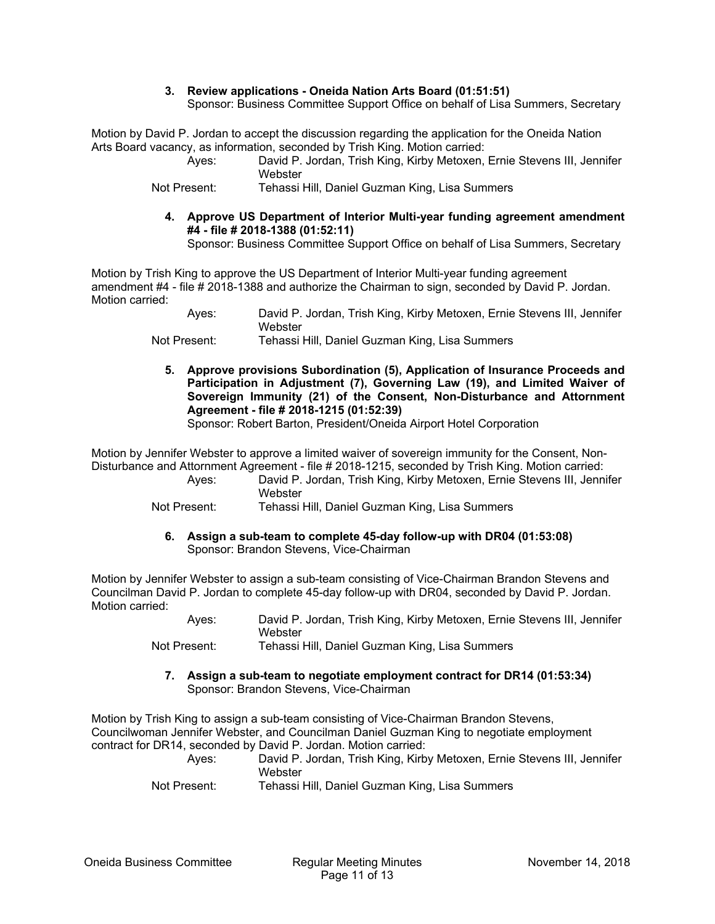#### **3. Review applications - Oneida Nation Arts Board (01:51:51)**

Sponsor: Business Committee Support Office on behalf of Lisa Summers, Secretary

Motion by David P. Jordan to accept the discussion regarding the application for the Oneida Nation Arts Board vacancy, as information, seconded by Trish King. Motion carried:

 Ayes: David P. Jordan, Trish King, Kirby Metoxen, Ernie Stevens III, Jennifer **Webster** 

Not Present: Tehassi Hill, Daniel Guzman King, Lisa Summers

**4. Approve US Department of Interior Multi-year funding agreement amendment #4 - file # 2018-1388 (01:52:11)**  Sponsor: Business Committee Support Office on behalf of Lisa Summers, Secretary

Motion by Trish King to approve the US Department of Interior Multi-year funding agreement amendment #4 - file # 2018-1388 and authorize the Chairman to sign, seconded by David P. Jordan. Motion carried:

 Ayes: David P. Jordan, Trish King, Kirby Metoxen, Ernie Stevens III, Jennifer Webster

Not Present: Tehassi Hill, Daniel Guzman King, Lisa Summers

**5. Approve provisions Subordination (5), Application of Insurance Proceeds and Participation in Adjustment (7), Governing Law (19), and Limited Waiver of Sovereign Immunity (21) of the Consent, Non-Disturbance and Attornment Agreement - file # 2018-1215 (01:52:39)** 

Sponsor: Robert Barton, President/Oneida Airport Hotel Corporation

Motion by Jennifer Webster to approve a limited waiver of sovereign immunity for the Consent, Non-Disturbance and Attornment Agreement - file # 2018-1215, seconded by Trish King. Motion carried:

 Ayes: David P. Jordan, Trish King, Kirby Metoxen, Ernie Stevens III, Jennifer **Webster** 

Not Present: Tehassi Hill, Daniel Guzman King, Lisa Summers

**6. Assign a sub-team to complete 45-day follow-up with DR04 (01:53:08)**  Sponsor: Brandon Stevens, Vice-Chairman

Motion by Jennifer Webster to assign a sub-team consisting of Vice-Chairman Brandon Stevens and Councilman David P. Jordan to complete 45-day follow-up with DR04, seconded by David P. Jordan. Motion carried:

| Aves:       | David P. Jordan, Trish King, Kirby Metoxen, Ernie Stevens III, Jennifer<br>Webster |
|-------------|------------------------------------------------------------------------------------|
| Nat Dessart | Tehesaillill Denial Curman Kins Line Cumman                                        |

Not Present: Tehassi Hill, Daniel Guzman King, Lisa Summers

**7. Assign a sub-team to negotiate employment contract for DR14 (01:53:34)**  Sponsor: Brandon Stevens, Vice-Chairman

Motion by Trish King to assign a sub-team consisting of Vice-Chairman Brandon Stevens, Councilwoman Jennifer Webster, and Councilman Daniel Guzman King to negotiate employment contract for DR14, seconded by David P. Jordan. Motion carried:

 Ayes: David P. Jordan, Trish King, Kirby Metoxen, Ernie Stevens III, Jennifer **Webster** Not Present: Tehassi Hill, Daniel Guzman King, Lisa Summers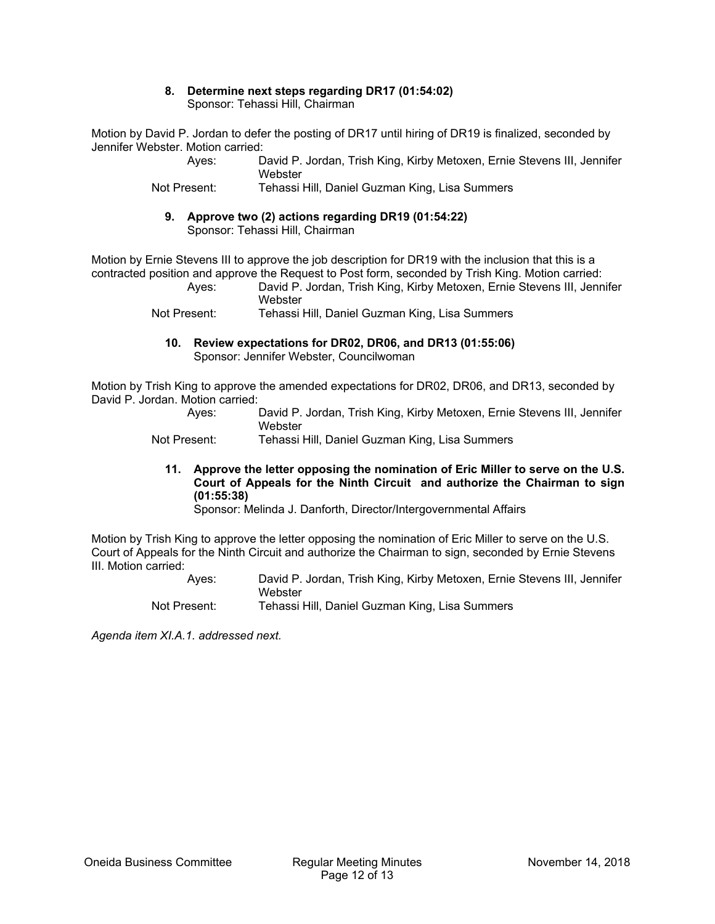#### **8. Determine next steps regarding DR17 (01:54:02)**  Sponsor: Tehassi Hill, Chairman

Motion by David P. Jordan to defer the posting of DR17 until hiring of DR19 is finalized, seconded by Jennifer Webster. Motion carried:

> Ayes: David P. Jordan, Trish King, Kirby Metoxen, Ernie Stevens III, Jennifer **Webster**

Not Present: Tehassi Hill, Daniel Guzman King, Lisa Summers

**9. Approve two (2) actions regarding DR19 (01:54:22)**  Sponsor: Tehassi Hill, Chairman

Motion by Ernie Stevens III to approve the job description for DR19 with the inclusion that this is a contracted position and approve the Request to Post form, seconded by Trish King. Motion carried:

 Ayes: David P. Jordan, Trish King, Kirby Metoxen, Ernie Stevens III, Jennifer **Webster** 

Not Present: Tehassi Hill, Daniel Guzman King, Lisa Summers

**10. Review expectations for DR02, DR06, and DR13 (01:55:06)**  Sponsor: Jennifer Webster, Councilwoman

Motion by Trish King to approve the amended expectations for DR02, DR06, and DR13, seconded by David P. Jordan. Motion carried:

> Ayes: David P. Jordan, Trish King, Kirby Metoxen, Ernie Stevens III, Jennifer **Webster**

Not Present: Tehassi Hill, Daniel Guzman King, Lisa Summers

**11. Approve the letter opposing the nomination of Eric Miller to serve on the U.S. Court of Appeals for the Ninth Circuit and authorize the Chairman to sign (01:55:38)** 

Sponsor: Melinda J. Danforth, Director/Intergovernmental Affairs

Motion by Trish King to approve the letter opposing the nomination of Eric Miller to serve on the U.S. Court of Appeals for the Ninth Circuit and authorize the Chairman to sign, seconded by Ernie Stevens III. Motion carried:

- Ayes: David P. Jordan, Trish King, Kirby Metoxen, Ernie Stevens III, Jennifer **Webster**
- Not Present: Tehassi Hill, Daniel Guzman King, Lisa Summers

*Agenda item XI.A.1. addressed next.*